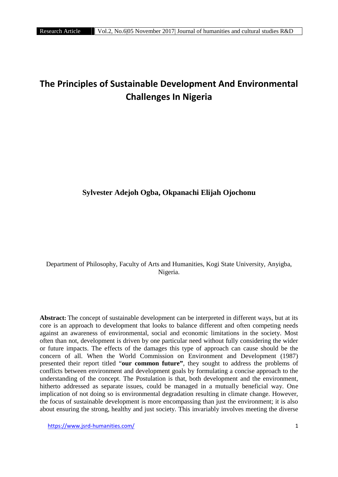# **The Principles of Sustainable Development And Environmental Challenges In Nigeria**

## **Sylvester Adejoh Ogba, Okpanachi Elijah Ojochonu**

Department of Philosophy, Faculty of Arts and Humanities, Kogi State University, Anyigba, Nigeria.

**Abstract:** The concept of sustainable development can be interpreted in different ways, but at its core is an approach to development that looks to balance different and often competing needs against an awareness of environmental, social and economic limitations in the society. Most often than not, development is driven by one particular need without fully considering the wider or future impacts. The effects of the damages this type of approach can cause should be the concern of all. When the World Commission on Environment and Development (1987) presented their report titled "**our common future"**, they sought to address the problems of conflicts between environment and development goals by formulating a concise approach to the understanding of the concept. The Postulation is that, both development and the environment, hitherto addressed as separate issues, could be managed in a mutually beneficial way. One implication of not doing so is environmental degradation resulting in climate change. However, the focus of sustainable development is more encompassing than just the environment; it is also about ensuring the strong, healthy and just society. This invariably involves meeting the diverse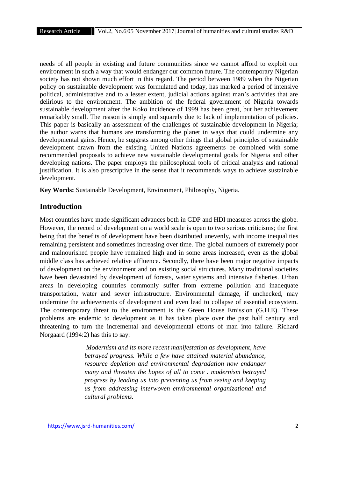needs of all people in existing and future communities since we cannot afford to exploit our environment in such a way that would endanger our common future. The contemporary Nigerian society has not shown much effort in this regard. The period between 1989 when the Nigerian policy on sustainable development was formulated and today, has marked a period of intensive political, administrative and to a lesser extent, judicial actions against man's activities that are delirious to the environment. The ambition of the federal government of Nigeria towards sustainable development after the Koko incidence of 1999 has been great, but her achievement remarkably small. The reason is simply and squarely due to lack of implementation of policies. This paper is basically an assessment of the challenges of sustainable development in Nigeria; the author warns that humans are transforming the planet in ways that could undermine any developmental gains. Hence, he suggests among other things that global principles of sustainable development drawn from the existing United Nations agreements be combined with some recommended proposals to achieve new sustainable developmental goals for Nigeria and other developing nations**.** The paper employs the philosophical tools of critical analysis and rational justification. It is also prescriptive in the sense that it recommends ways to achieve sustainable development.

**Key Words:** Sustainable Development, Environment, Philosophy, Nigeria.

## **Introduction**

Most countries have made significant advances both in GDP and HDI measures across the globe. However, the record of development on a world scale is open to two serious criticisms; the first being that the benefits of development have been distributed unevenly, with income inequalities remaining persistent and sometimes increasing over time. The global numbers of extremely poor and malnourished people have remained high and in some areas increased, even as the global middle class has achieved relative affluence. Secondly, there have been major negative impacts of development on the environment and on existing social structures. Many traditional societies have been devastated by development of forests, water systems and intensive fisheries. Urban areas in developing countries commonly suffer from extreme pollution and inadequate transportation, water and sewer infrastructure. Environmental damage, if unchecked, may undermine the achievements of development and even lead to collapse of essential ecosystem. The contemporary threat to the environment is the Green House Emission (G.H.E). These problems are endemic to development as it has taken place over the past half century and threatening to turn the incremental and developmental efforts of man into failure. Richard Norgaard (1994:2) has this to say:

> *Modernism and its more recent manifestation as development, have betrayed progress. While a few have attained material abundance, resource depletion and environmental degradation now endanger many and threaten the hopes of all to come . modernism betrayed progress by leading us into preventing us from seeing and keeping us from addressing interwoven environmental organizational and cultural problems.*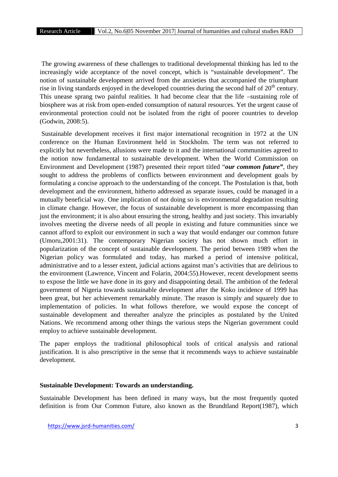The growing awareness of these challenges to traditional developmental thinking has led to the increasingly wide acceptance of the novel concept, which is "sustainable development". The notion of sustainable development arrived from the anxieties that accompanied the triumphant rise in living standards enjoyed in the developed countries during the second half of  $20<sup>th</sup>$  century. This unease sprang two painful realities. It had become clear that the life –sustaining role of biosphere was at risk from open-ended consumption of natural resources. Yet the urgent cause of environmental protection could not be isolated from the right of poorer countries to develop (Godwin, 2008:5).

Sustainable development receives it first major international recognition in 1972 at the UN conference on the Human Environment held in Stockholm. The term was not referred to explicitly but nevertheless, allusions were made to it and the international communities agreed to the notion now fundamental to sustainable development. When the World Commission on Environment and Development (1987) presented their report titled "*our common future"*, they sought to address the problems of conflicts between environment and development goals by formulating a concise approach to the understanding of the concept. The Postulation is that, both development and the environment, hitherto addressed as separate issues, could be managed in a mutually beneficial way. One implication of not doing so is environmental degradation resulting in climate change. However, the focus of sustainable development is more encompassing than just the environment; it is also about ensuring the strong, healthy and just society. This invariably involves meeting the diverse needs of all people in existing and future communities since we cannot afford to exploit our environment in such a way that would endanger our common future (Umoru,2001:31). The contemporary Nigerian society has not shown much effort in popularization of the concept of sustainable development. The period between 1989 when the Nigerian policy was formulated and today, has marked a period of intensive political, administrative and to a lesser extent, judicial actions against man's activities that are delirious to the environment (Lawrence, Vincent and Folarin, 2004:55).However, recent development seems to expose the little we have done in its gory and disappointing detail. The ambition of the federal government of Nigeria towards sustainable development after the Koko incidence of 1999 has been great, but her achievement remarkably minute. The reason is simply and squarely due to implementation of policies. In what follows therefore, we would expose the concept of sustainable development and thereafter analyze the principles as postulated by the United Nations. We recommend among other things the various steps the Nigerian government could employ to achieve sustainable development.

The paper employs the traditional philosophical tools of critical analysis and rational justification. It is also prescriptive in the sense that it recommends ways to achieve sustainable development.

#### **Sustainable Development: Towards an understanding.**

Sustainable Development has been defined in many ways, but the most frequently quoted definition is from Our Common Future, also known as the Brundtland Report(1987), which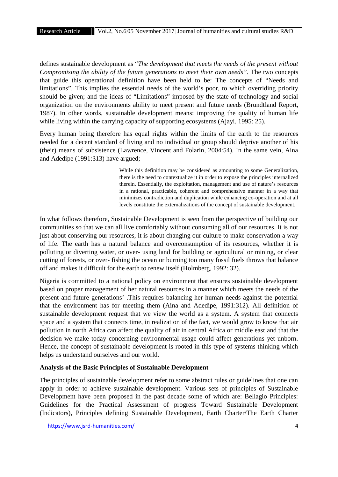defines sustainable development as "*The development that meets the needs of the present without Compromising the ability of the future generations to meet their own needs".* The two concepts that guide this operational definition have been held to be: The concepts of "Needs and limitations". This implies the essential needs of the world's poor, to which overriding priority should be given; and the ideas of "Limitations" imposed by the state of technology and social organization on the environments ability to meet present and future needs (Brundtland Report, 1987). In other words, sustainable development means: improving the quality of human life while living within the carrying capacity of supporting ecosystems (Ajayi, 1995: 25).

Every human being therefore has equal rights within the limits of the earth to the resources needed for a decent standard of living and no individual or group should deprive another of his (their) means of subsistence (Lawrence, Vincent and Folarin, 2004:54). In the same vein, Aina and Adedipe (1991:313) have argued;

> While this definition may be considered as amounting to some Generalization, there is the need to contextualize it in order to expose the principles internalized therein. Essentially, the exploitation, management and use of nature's resources in a rational, practicable, coherent and comprehensive manner in a way that minimizes contradiction and duplication while enhancing co-operation and at all levels constitute the externalizations of the concept of sustainable development.

In what follows therefore, Sustainable Development is seen from the perspective of building our communities so that we can all live comfortably without consuming all of our resources. It is not just about conserving our resources, it is about changing our culture to make conservation a way of life. The earth has a natural balance and overconsumption of its resources, whether it is polluting or diverting water, or over- using land for building or agricultural or mining, or clear cutting of forests, or over- fishing the ocean or burning too many fossil fuels throws that balance off and makes it difficult for the earth to renew itself (Holmberg, 1992: 32).

Nigeria is committed to a national policy on environment that ensures sustainable development based on proper management of her natural resources in a manner which meets the needs of the present and future generations' .This requires balancing her human needs against the potential that the environment has for meeting them (Aina and Adedipe, 1991:312). All definition of sustainable development request that we view the world as a system. A system that connects space and a system that connects time, in realization of the fact, we would grow to know that air pollution in north Africa can affect the quality of air in central Africa or middle east and that the decision we make today concerning environmental usage could affect generations yet unborn. Hence, the concept of sustainable development is rooted in this type of systems thinking which helps us understand ourselves and our world.

## **Analysis of the Basic Principles of Sustainable Development**

The principles of sustainable development refer to some abstract rules or guidelines that one can apply in order to achieve sustainable development. Various sets of principles of Sustainable Development have been proposed in the past decade some of which are: Bellagio Principles: Guidelines for the Practical Assessment of progress Toward Sustainable Development (Indicators), Principles defining Sustainable Development, Earth Charter/The Earth Charter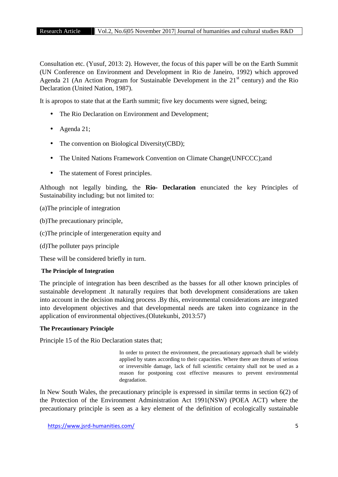Consultation etc. (Yusuf, 2013: 2). However, the focus of this paper will be on the Earth Summit (UN Conference on Environment and Development in Rio de Janeiro, 1992) which approved Agenda 21 (An Action Program for Sustainable Development in the  $21<sup>st</sup>$  century) and the Rio Declaration (United Nation, 1987).

It is apropos to state that at the Earth summit; five key documents were signed, being;

- The Rio Declaration on Environment and Development;
- Agenda 21;
- The convention on Biological Diversity(CBD);
- The United Nations Framework Convention on Climate Change(UNFCCC);and
- The statement of Forest principles.

Although not legally binding, the **Rio- Declaration** enunciated the key Principles of Sustainability including; but not limited to:

(a)The principle of integration

(b)The precautionary principle,

(c)The principle of intergeneration equity and

(d)The polluter pays principle

These will be considered briefly in turn.

## **The Principle of Integration**

The principle of integration has been described as the basses for all other known principles of sustainable development .It naturally requires that both development considerations are taken into account in the decision making process .By this, environmental considerations are integrated into development objectives and that developmental needs are taken into cognizance in the application of environmental objectives.(Olutekunbi, 2013:57)

## **The Precautionary Principle**

Principle 15 of the Rio Declaration states that;

In order to protect the environment, the precautionary approach shall be widely applied by states according to their capacities. Where there are threats of serious or irreversible damage, lack of full scientific certainty shall not be used as a reason for postponing cost effective measures to prevent environmental degradation.

In New South Wales, the precautionary principle is expressed in similar terms in section 6(2) of the Protection of the Environment Administration Act 1991(NSW) (POEA ACT) where the precautionary principle is seen as a key element of the definition of ecologically sustainable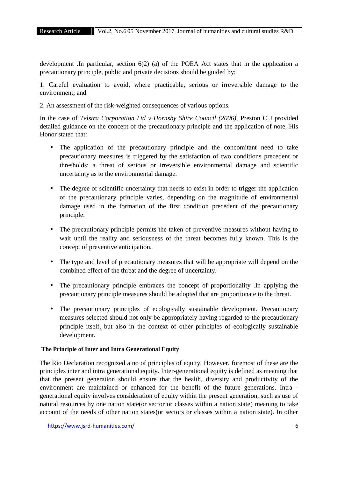development .In particular, section 6(2) (a) of the POEA Act states that in the application a precautionary principle, public and private decisions should be guided by;

1. Careful evaluation to avoid, where practicable, serious or irreversible damage to the environment; and

2. An assessment of the risk-weighted consequences of various options.

In the case of *Telstra Corporation Ltd v Hornsby Shire Council (2006),* Preston C J provided detailed guidance on the concept of the precautionary principle and the application of note, His Honor stated that:

- The application of the precautionary principle and the concomitant need to take precautionary measures is triggered by the satisfaction of two conditions precedent or thresholds: a threat of serious or irreversible environmental damage and scientific uncertainty as to the environmental damage.
- The degree of scientific uncertainty that needs to exist in order to trigger the application of the precautionary principle varies, depending on the magnitude of environmental damage used in the formation of the first condition precedent of the precautionary principle.
- The precautionary principle permits the taken of preventive measures without having to wait until the reality and seriousness of the threat becomes fully known. This is the concept of preventive anticipation.
- The type and level of precautionary measures that will be appropriate will depend on the combined effect of the threat and the degree of uncertainty.
- The precautionary principle embraces the concept of proportionality .In applying the precautionary principle measures should be adopted that are proportionate to the threat.
- The precautionary principles of ecologically sustainable development. Precautionary measures selected should not only be appropriately having regarded to the precautionary principle itself, but also in the context of other principles of ecologically sustainable development.

## **The Principle of Inter and Intra Generational Equity**

The Rio Declaration recognized a no of principles of equity. However, foremost of these are the principles inter and intra generational equity. Inter-generational equity is defined as meaning that that the present generation should ensure that the health, diversity and productivity of the environment are maintained or enhanced for the benefit of the future generations. Intra generational equity involves consideration of equity within the present generation, such as use of natural resources by one nation state(or sector or classes within a nation state) meaning to take account of the needs of other nation states(or sectors or classes within a nation state). In other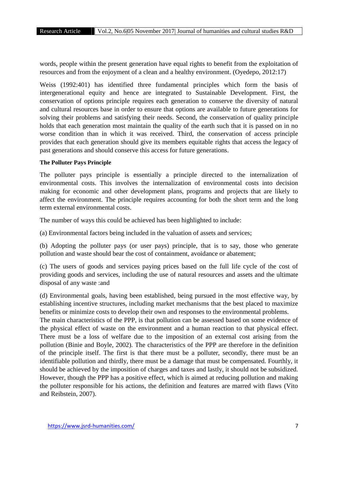words, people within the present generation have equal rights to benefit from the exploitation of resources and from the enjoyment of a clean and a healthy environment. (Oyedepo, 2012:17)

Weiss (1992:401) has identified three fundamental principles which form the basis of intergenerational equity and hence are integrated to Sustainable Development. First, the conservation of options principle requires each generation to conserve the diversity of natural and cultural resources base in order to ensure that options are available to future generations for solving their problems and satisfying their needs. Second, the conservation of quality principle holds that each generation most maintain the quality of the earth such that it is passed on in no worse condition than in which it was received. Third, the conservation of access principle provides that each generation should give its members equitable rights that access the legacy of past generations and should conserve this access for future generations.

## **The Polluter Pays Principle**

The polluter pays principle is essentially a principle directed to the internalization of environmental costs. This involves the internalization of environmental costs into decision making for economic and other development plans, programs and projects that are likely to affect the environment. The principle requires accounting for both the short term and the long term external environmental costs.

The number of ways this could be achieved has been highlighted to include:

(a) Environmental factors being included in the valuation of assets and services;

(b) Adopting the polluter pays (or user pays) principle, that is to say, those who generate pollution and waste should bear the cost of containment, avoidance or abatement;

(c) The users of goods and services paying prices based on the full life cycle of the cost of providing goods and services, including the use of natural resources and assets and the ultimate disposal of any waste :and

(d) Environmental goals, having been established, being pursued in the most effective way, by establishing incentive structures, including market mechanisms that the best placed to maximize benefits or minimize costs to develop their own and responses to the environmental problems.

The main characteristics of the PPP, is that pollution can be assessed based on some evidence of the physical effect of waste on the environment and a human reaction to that physical effect. There must be a loss of welfare due to the imposition of an external cost arising from the pollution (Binie and Boyle, 2002). The characteristics of the PPP are therefore in the definition of the principle itself. The first is that there must be a polluter, secondly, there must be an identifiable pollution and thirdly, there must be a damage that must be compensated. Fourthly, it should be achieved by the imposition of charges and taxes and lastly, it should not be subsidized. However, though the PPP has a positive effect, which is aimed at reducing pollution and making the polluter responsible for his actions, the definition and features are marred with flaws (Vito and Reibstein, 2007).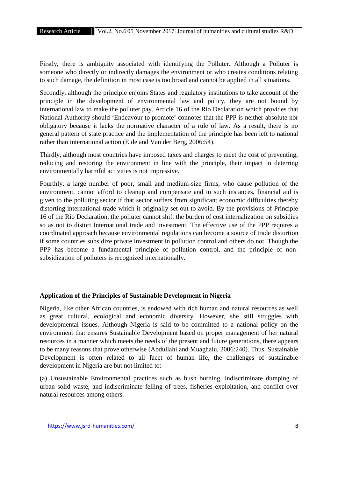Firstly, there is ambiguity associated with identifying the Polluter. Although a Polluter is someone who directly or indirectly damages the environment or who creates conditions relating to such damage, the definition in most case is too broad and cannot be applied in all situations.

Secondly, although the principle enjoins States and regulatory institutions to take account of the principle in the development of environmental law and policy, they are not bound by international law to make the polluter pay. Article 16 of the Rio Declaration which provides that National Authority should 'Endeavour to promote' connotes that the PPP is neither absolute nor obligatory because it lacks the normative character of a rule of law. As a result, there is no general pattern of state practice and the implementation of the principle has been left to national rather than international action (Eide and Van der Berg, 2006:54).

Thirdly, although most countries have imposed taxes and charges to meet the cost of preventing, reducing and restoring the environment in line with the principle, their impact in deterring environmentally harmful activities is not impressive.

Fourthly, a large number of poor, small and medium-size firms, who cause pollution of the environment, cannot afford to cleanup and compensate and in such instances, financial aid is given to the polluting sector if that sector suffers from significant economic difficulties thereby distorting international trade which it originally set out to avoid. By the provisions of Principle 16 of the Rio Declaration, the polluter cannot shift the burden of cost internalization on subsidies so as not to distort International trade and investment. The effective use of the PPP requires a coordinated approach because environmental regulations can become a source of trade distortion if some countries subsidize private investment in pollution control and others do not. Though the PPP has become a fundamental principle of pollution control, and the principle of non subsidization of polluters is recognized internationally.

## **Application of the Principles of Sustainable Development in Nigeria**

Nigeria, like other African countries, is endowed with rich human and natural resources as well as great cultural, ecological and economic diversity. However, she still struggles with developmental issues. Although Nigeria is said to be committed to a national policy on the environment that ensures Sustainable Development based on proper management of her natural resources in a manner which meets the needs of the present and future generations, there appears to be many reasons that prove otherwise (Abdullahi and Muaghalu, 2006:240). Thus, Sustainable Development is often related to all facet of human life, the challenges of sustainable development in Nigeria are but not limited to:

(a) Unsustainable Environmental practices such as bush burning, indiscriminate dumping of urban solid waste, and indiscriminate felling of trees, fisheries exploitation, and conflict over natural resources among others.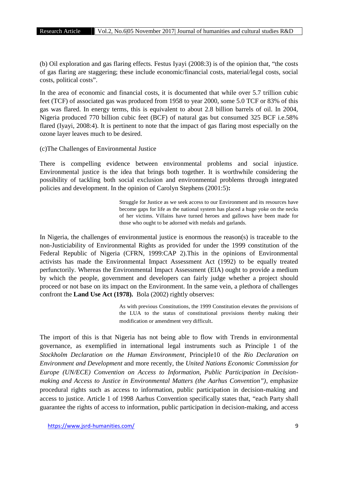(b) Oil exploration and gas flaring effects. Festus Iyayi (2008:3) is of the opinion that, "the costs of gas flaring are staggering; these include economic/financial costs, material/legal costs, social costs, political costs".

In the area of economic and financial costs, it is documented that while over 5.7 trillion cubic feet (TCF) of associated gas was produced from 1958 to year 2000, some 5.0 TCF or 83% of this gas was flared. In energy terms, this is equivalent to about 2.8 billion barrels of oil. In 2004, Nigeria produced 770 billion cubic feet (BCF) of natural gas but consumed 325 BCF i.e.58% flared (Iyayi, 2008:4). It is pertinent to note that the impact of gas flaring most especially on the ozone layer leaves much to be desired.

## (c)The Challenges of Environmental Justice

There is compelling evidence between environmental problems and social injustice. Environmental justice is the idea that brings both together. It is worthwhile considering the possibility of tackling both social exclusion and environmental problems through integrated policies and development. In the opinion of Carolyn Stephens (2001:5)**:**

> Struggle for Justice as we seek access to our Environment and its resources have become gaps for life as the national system has placed a huge yoke on the necks of her victims. Villains have turned heroes and gallows have been made for those who ought to be adorned with medals and garlands.

In Nigeria, the challenges of environmental justice is enormous the reason(s) is traceable to the non-Justiciability of Environmental Rights as provided for under the 1999 constitution of the Federal Republic of Nigeria (CFRN, 1999:CAP 2).This in the opinions of Environmental activists has made the Environmental Impact Assessment Act (1992) to be equally treated perfunctorily. Whereas the Environmental Impact Assessment (EIA) ought to provide a medium by which the people, government and developers can fairly judge whether a project should proceed or not base on its impact on the Environment. In the same vein, a plethora of challenges confront the **Land Use Act (1978).** Bola (2002) rightly observes:

> As with previous Constitutions, the 1999 Constitution elevates the provisions of the LUA to the status of constitutional provisions thereby making their modification or amendment very difficult.

The import of this is that Nigeria has not being able to flow with Trends in environmental governance, as exemplified in international legal instruments such as Principle 1 of the *Stockholm Declaration on the Human Environment*, Principle10 of the *Rio Declaration on Environment and Development* and more recently, the *United Nations Economic Commission for Europe (UN/ECE) Convention on Access to Information, Public Participation in Decision making and Access to Justice in Environmental Matters (the Aarhus Convention")*, emphasize procedural rights such as access to information, public participation in decision-making and access to justice. Article 1 of 1998 Aarhus Convention specifically states that, "each Party shall guarantee the rights of access to information, public participation in decision-making, and access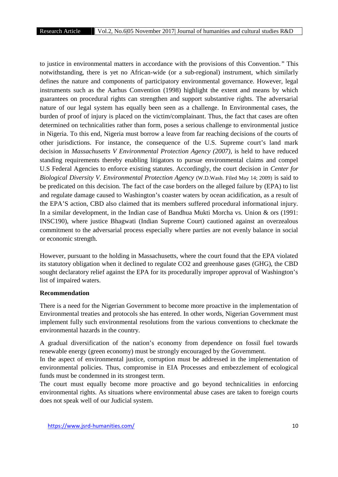to justice in environmental matters in accordance with the provisions of this Convention*."* This notwithstanding, there is yet no African-wide (or a sub-regional) instrument, which similarly defines the nature and components of participatory environmental governance. However, legal instruments such as the Aarhus Convention (1998) highlight the extent and means by which guarantees on procedural rights can strengthen and support substantive rights. The adversarial nature of our legal system has equally been seen as a challenge. In Environmental cases, the burden of proof of injury is placed on the victim/complainant. Thus, the fact that cases are often determined on technicalities rather than form, poses a serious challenge to environmental justice in Nigeria. To this end, Nigeria must borrow a leave from far reaching decisions of the courts of other jurisdictions. For instance, the consequence of the U.S. Supreme court's land mark decision in *Massachusetts V Environmental Protection Agency (2007)*, is held to have reduced standing requirements thereby enabling litigators to pursue environmental claims and compel U.S Federal Agencies to enforce existing statutes. Accordingly, the court decision in *Center for Biological Diversity V. Environmental Protection Agency* (W.D.Wash. Filed May 14; 2009) is said to be predicated on this decision. The fact of the case borders on the alleged failure by (EPA) to list and regulate damage caused to Washington's coaster waters by ocean acidification, as a result of the EPA'S action, CBD also claimed that its members suffered procedural informational injury. In a similar development, in the Indian case of Bandhua Mukti Morcha vs. Union & ors (1991: INSC190), where justice Bhagwati (Indian Supreme Court) cautioned against an overzealous commitment to the adversarial process especially where parties are not evenly balance in social or economic strength.

However, pursuant to the holding in Massachusetts, where the court found that the EPA violated its statutory obligation when it declined to regulate CO2 and greenhouse gases (GHG), the CBD sought declaratory relief against the EPA for its procedurally improper approval of Washington's list of impaired waters.

## **Recommendation**

There is a need for the Nigerian Government to become more proactive in the implementation of Environmental treaties and protocols she has entered. In other words, Nigerian Government must implement fully such environmental resolutions from the various conventions to checkmate the environmental hazards in the country.

A gradual diversification of the nation's economy from dependence on fossil fuel towards renewable energy (green economy) must be strongly encouraged by the Government.

In the aspect of environmental justice, corruption must be addressed in the implementation of environmental policies. Thus, compromise in EIA Processes and embezzlement of ecological funds must be condemned in its strongest term.

The court must equally become more proactive and go beyond technicalities in enforcing environmental rights. As situations where environmental abuse cases are taken to foreign courts does not speak well of our Judicial system.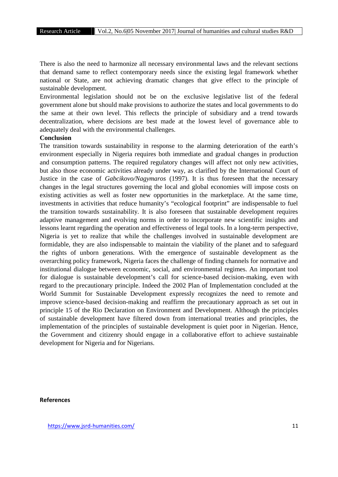There is also the need to harmonize all necessary environmental laws and the relevant sections that demand same to reflect contemporary needs since the existing legal framework whether national or State, are not achieving dramatic changes that give effect to the principle of sustainable development.

Environmental legislation should not be on the exclusive legislative list of the federal government alone but should make provisions to authorize the states and local governments to do the same at their own level. This reflects the principle of subsidiary and a trend towards decentralization, where decisions are best made at the lowest level of governance able to adequately deal with the environmental challenges.

## **Conclusion**

The transition towards sustainability in response to the alarming deterioration of the earth's environment especially in Nigeria requires both immediate and gradual changes in production and consumption patterns. The required regulatory changes will affect not only new activities, but also those economic activities already under way, as clarified by the International Court of Justice in the case of *Gabcikovo/Nagymaros* (1997). It is thus foreseen that the necessary changes in the legal structures governing the local and global economies will impose costs on existing activities as well as foster new opportunities in the marketplace. At the same time, investments in activities that reduce humanity's "ecological footprint" are indispensable to fuel the transition towards sustainability. It is also foreseen that sustainable development requires adaptive management and evolving norms in order to incorporate new scientific insights and lessons learnt regarding the operation and effectiveness of legal tools. In a long-term perspective, Nigeria is yet to realize that while the challenges involved in sustainable development are formidable, they are also indispensable to maintain the viability of the planet and to safeguard the rights of unborn generations. With the emergence of sustainable development as the overarching policy framework, Nigeria faces the challenge of finding channels for normative and institutional dialogue between economic, social, and environmental regimes. An important tool for dialogue is sustainable development's call for science-based decision-making, even with regard to the precautionary principle. Indeed the 2002 Plan of Implementation concluded at the World Summit for Sustainable Development expressly recognizes the need to remote and improve science-based decision-making and reaffirm the precautionary approach as set out in principle 15 of the Rio Declaration on Environment and Development. Although the principles of sustainable development have filtered down from international treaties and principles, the implementation of the principles of sustainable development is quiet poor in Nigerian. Hence, the Government and citizenry should engage in a collaborative effort to achieve sustainable development for Nigeria and for Nigerians.

## **References**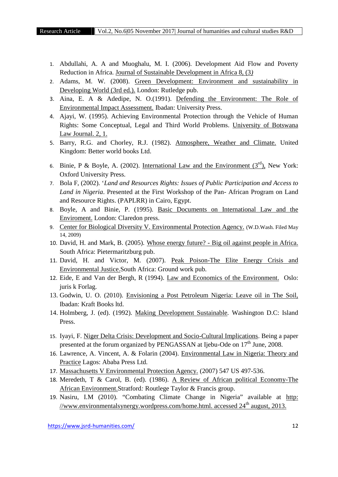- 1. Abdullahi, A. A and Muoghalu, M. I. (2006). Development Aid Flow and Poverty Reduction in Africa. Journal of Sustainable Development in Africa 8, (3*)*
- 2. Adams, M. W. (2008). Green Development: Environment and sustainability in Developing World (3rd ed.). London: Rutledge pub.
- 3. Aina, E. A & Adedipe, N. O.(1991). Defending the Environment: The Role of Environmental Impact Assessment. Ibadan: University Press.
- 4. Ajayi, W. (1995). Achieving Environmental Protection through the Vehicle of Human Rights: Some Conceptual, Legal and Third World Problems. University of Botswana Law Journal. 2, 1.
- 5. Barry, R.G. and Chorley, R.J. (1982). Atmosphere, Weather and Climate. United Kingdom: Better world books Ltd.
- 6. Binie, P & Boyle, A. (2002). International Law and the Environment  $(3<sup>rd</sup>)$ , New York: Oxford University Press.
- 7. Bola F, (2002). '*Land and Resources Rights: Issues of Public Participation and Access to Land in Nigeria*. Presented at the First Workshop of the Pan- African Program on Land and Resource Rights. (PAPLRR) in Cairo, Egypt.
- 8. Boyle, A and Binie, P. (1995). Basic Documents on International Law and the Enviroment. London: Claredon press.
- 9. Center for Biological Diversity V. Environmental Protection Agency. (W.D.Wash. Filed May 14, 2009)
- 10. David, H. and Mark, B. (2005). Whose energy future? Big oil against people in Africa. South Africa: Pietermaritzburg pub.
- 11. David, H. and Victor, M. (2007). Peak Poison-The Elite Energy Crisis and Environmental Justice.South Africa: Ground work pub.
- 12. Eide, E and Van der Bergh, R (1994). Law and Economics of the Environment. Oslo: juris k Forlag.
- 13. Godwin, U. O. (2010). Envisioning a Post Petroleum Nigeria: Leave oil in The Soil, Ibadan: Kraft Books ltd.
- 14. Holmberg, J. (ed). (1992). Making Development Sustainable*.* Washington D.C: Island Press.
- 15. Iyayi, F. Niger Delta Crisis: Development and Socio-Cultural Implications. Being a paper presented at the forum organized by PENGASSAN at Ijebu-Ode on  $17<sup>th</sup>$  June, 2008.
- 16. Lawrence, A. Vincent, A. & Folarin (2004). Environmental Law in Nigeria: Theory and Practice Lagos: Ababa Press Ltd.
- 17. Massachusetts V Environmental Protection Agency. (2007) 547 US 497-536.
- 18. Meredeth, T & Carol, B. (ed). (1986). A Review of African political Economy-The African Environment.Stratford*:* Routlege Taylor & Francis group.
- 19. Nasiru, I.M (2010). "Combating Climate Change in Nigeria" available at http:  $\frac{1}{\text{www.environmentalsynergy.}wordpress.com/home.html. accessed 24<sup>th</sup> august, 2013.}$